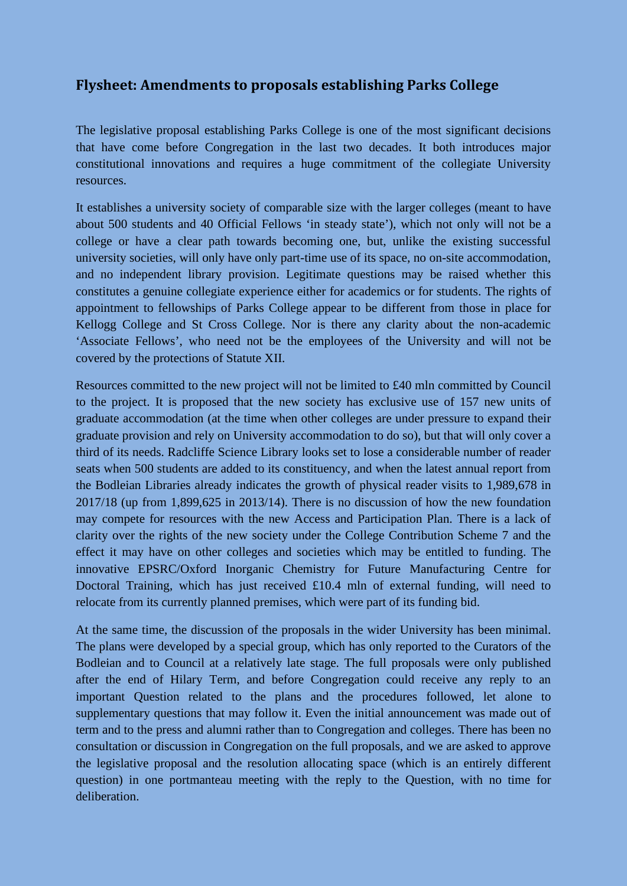## **Flysheet: Amendments to proposals establishing Parks College**

The legislative proposal establishing Parks College is one of the most significant decisions that have come before Congregation in the last two decades. It both introduces major constitutional innovations and requires a huge commitment of the collegiate University resources.

It establishes a university society of comparable size with the larger colleges (meant to have about 500 students and 40 Official Fellows 'in steady state'), which not only will not be a college or have a clear path towards becoming one, but, unlike the existing successful university societies, will only have only part-time use of its space, no on-site accommodation, and no independent library provision. Legitimate questions may be raised whether this constitutes a genuine collegiate experience either for academics or for students. The rights of appointment to fellowships of Parks College appear to be different from those in place for Kellogg College and St Cross College. Nor is there any clarity about the non-academic 'Associate Fellows', who need not be the employees of the University and will not be covered by the protections of Statute XII.

Resources committed to the new project will not be limited to £40 mln committed by Council to the project. It is proposed that the new society has exclusive use of 157 new units of graduate accommodation (at the time when other colleges are under pressure to expand their graduate provision and rely on University accommodation to do so), but that will only cover a third of its needs. Radcliffe Science Library looks set to lose a considerable number of reader seats when 500 students are added to its constituency, and when the latest annual report from the Bodleian Libraries already indicates the growth of physical reader visits to 1,989,678 in 2017/18 (up from 1,899,625 in 2013/14). There is no discussion of how the new foundation may compete for resources with the new Access and Participation Plan. There is a lack of clarity over the rights of the new society under the College Contribution Scheme 7 and the effect it may have on other colleges and societies which may be entitled to funding. The innovative EPSRC/Oxford Inorganic Chemistry for Future Manufacturing Centre for Doctoral Training, which has just received  $\text{\pounds}10.4$  mln of external funding, will need to relocate from its currently planned premises, which were part of its funding bid.

At the same time, the discussion of the proposals in the wider University has been minimal. The plans were developed by a special group, which has only reported to the Curators of the Bodleian and to Council at a relatively late stage. The full proposals were only published after the end of Hilary Term, and before Congregation could receive any reply to an important Question related to the plans and the procedures followed, let alone to supplementary questions that may follow it. Even the initial announcement was made out of term and to the press and alumni rather than to Congregation and colleges. There has been no consultation or discussion in Congregation on the full proposals, and we are asked to approve the legislative proposal and the resolution allocating space (which is an entirely different question) in one portmanteau meeting with the reply to the Question, with no time for deliberation.